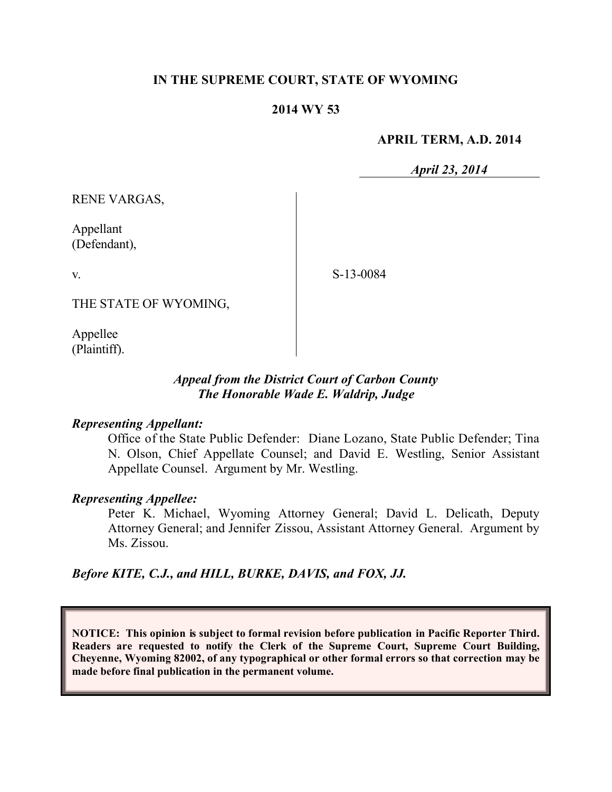## **IN THE SUPREME COURT, STATE OF WYOMING**

#### **2014 WY 53**

#### **APRIL TERM, A.D. 2014**

*April 23, 2014*

RENE VARGAS,

Appellant (Defendant),

v.

S-13-0084

THE STATE OF WYOMING,

Appellee (Plaintiff).

### *Appeal from the District Court of Carbon County The Honorable Wade E. Waldrip, Judge*

#### *Representing Appellant:*

Office of the State Public Defender: Diane Lozano, State Public Defender; Tina N. Olson, Chief Appellate Counsel; and David E. Westling, Senior Assistant Appellate Counsel. Argument by Mr. Westling.

#### *Representing Appellee:*

Peter K. Michael, Wyoming Attorney General; David L. Delicath, Deputy Attorney General; and Jennifer Zissou, Assistant Attorney General. Argument by Ms. Zissou.

#### *Before KITE, C.J., and HILL, BURKE, DAVIS, and FOX, JJ.*

**NOTICE: This opinion is subject to formal revision before publication in Pacific Reporter Third. Readers are requested to notify the Clerk of the Supreme Court, Supreme Court Building, Cheyenne, Wyoming 82002, of any typographical or other formal errors so that correction may be made before final publication in the permanent volume.**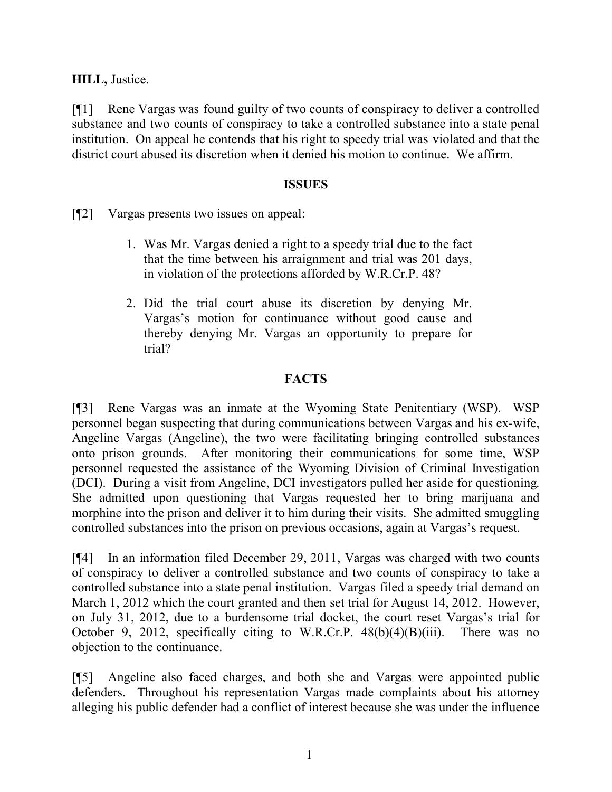**HILL,** Justice.

[¶1] Rene Vargas was found guilty of two counts of conspiracy to deliver a controlled substance and two counts of conspiracy to take a controlled substance into a state penal institution. On appeal he contends that his right to speedy trial was violated and that the district court abused its discretion when it denied his motion to continue. We affirm.

### **ISSUES**

[¶2] Vargas presents two issues on appeal:

- 1. Was Mr. Vargas denied a right to a speedy trial due to the fact that the time between his arraignment and trial was 201 days, in violation of the protections afforded by W.R.Cr.P. 48?
- 2. Did the trial court abuse its discretion by denying Mr. Vargas's motion for continuance without good cause and thereby denying Mr. Vargas an opportunity to prepare for trial?

# **FACTS**

[¶3] Rene Vargas was an inmate at the Wyoming State Penitentiary (WSP). WSP personnel began suspecting that during communications between Vargas and his ex-wife, Angeline Vargas (Angeline), the two were facilitating bringing controlled substances onto prison grounds. After monitoring their communications for some time, WSP personnel requested the assistance of the Wyoming Division of Criminal Investigation (DCI). During a visit from Angeline, DCI investigators pulled her aside for questioning. She admitted upon questioning that Vargas requested her to bring marijuana and morphine into the prison and deliver it to him during their visits. She admitted smuggling controlled substances into the prison on previous occasions, again at Vargas's request.

[¶4] In an information filed December 29, 2011, Vargas was charged with two counts of conspiracy to deliver a controlled substance and two counts of conspiracy to take a controlled substance into a state penal institution. Vargas filed a speedy trial demand on March 1, 2012 which the court granted and then set trial for August 14, 2012. However, on July 31, 2012, due to a burdensome trial docket, the court reset Vargas's trial for October 9, 2012, specifically citing to W.R.Cr.P.  $48(b)(4)(B)(iii)$ . There was no objection to the continuance.

[¶5] Angeline also faced charges, and both she and Vargas were appointed public defenders. Throughout his representation Vargas made complaints about his attorney alleging his public defender had a conflict of interest because she was under the influence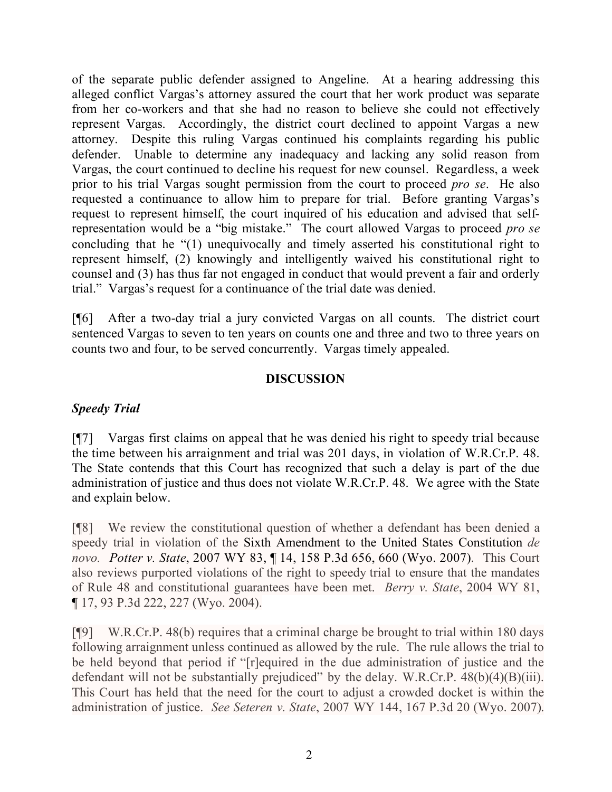of the separate public defender assigned to Angeline. At a hearing addressing this alleged conflict Vargas's attorney assured the court that her work product was separate from her co-workers and that she had no reason to believe she could not effectively represent Vargas. Accordingly, the district court declined to appoint Vargas a new attorney. Despite this ruling Vargas continued his complaints regarding his public defender. Unable to determine any inadequacy and lacking any solid reason from Vargas, the court continued to decline his request for new counsel. Regardless, a week prior to his trial Vargas sought permission from the court to proceed *pro se*. He also requested a continuance to allow him to prepare for trial. Before granting Vargas's request to represent himself, the court inquired of his education and advised that selfrepresentation would be a "big mistake." The court allowed Vargas to proceed *pro se* concluding that he "(1) unequivocally and timely asserted his constitutional right to represent himself, (2) knowingly and intelligently waived his constitutional right to counsel and (3) has thus far not engaged in conduct that would prevent a fair and orderly trial." Vargas's request for a continuance of the trial date was denied.

[¶6] After a two-day trial a jury convicted Vargas on all counts. The district court sentenced Vargas to seven to ten years on counts one and three and two to three years on counts two and four, to be served concurrently. Vargas timely appealed.

### **DISCUSSION**

## *Speedy Trial*

[¶7] Vargas first claims on appeal that he was denied his right to speedy trial because the time between his arraignment and trial was 201 days, in violation of W.R.Cr.P. 48. The State contends that this Court has recognized that such a delay is part of the due administration of justice and thus does not violate W.R.Cr.P. 48. We agree with the State and explain below.

[¶8] We review the constitutional question of whether a defendant has been denied a speedy trial in violation of the Sixth Amendment to the United States Constitution *de novo. Potter v. State*, 2007 WY 83, ¶ 14, 158 P.3d 656, 660 (Wyo. 2007). This Court also reviews purported violations of the right to speedy trial to ensure that the mandates of Rule 48 and constitutional guarantees have been met. *Berry v. State*, 2004 WY 81, ¶ 17, 93 P.3d 222, 227 (Wyo. 2004).

[¶9] W.R.Cr.P. 48(b) requires that a criminal charge be brought to trial within 180 days following arraignment unless continued as allowed by the rule. The rule allows the trial to be held beyond that period if "[r]equired in the due administration of justice and the defendant will not be substantially prejudiced" by the delay. W.R.Cr.P. 48(b)(4)(B)(iii). This Court has held that the need for the court to adjust a crowded docket is within the administration of justice. *See Seteren v. State*, 2007 WY 144, 167 P.3d 20 (Wyo. 2007).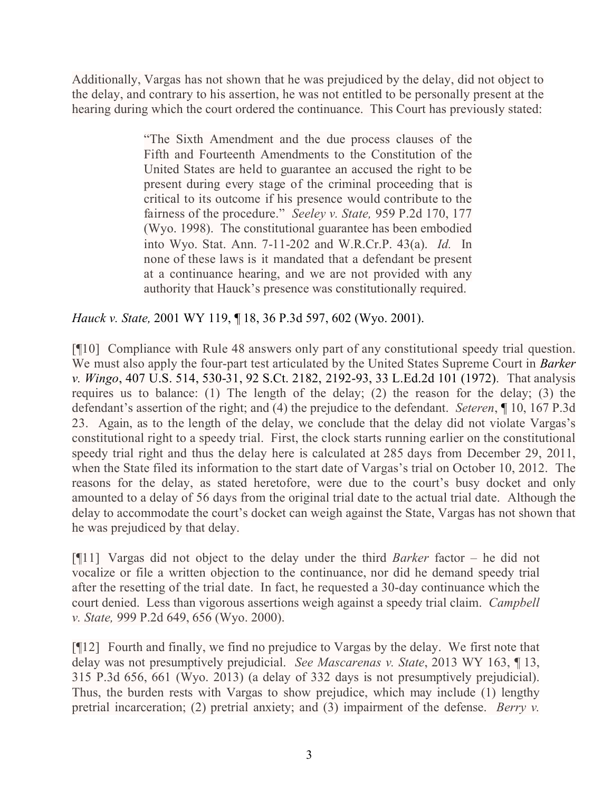Additionally, Vargas has not shown that he was prejudiced by the delay, did not object to the delay, and contrary to his assertion, he was not entitled to be personally present at the hearing during which the court ordered the continuance. This Court has previously stated:

> "The Sixth Amendment and the due process clauses of the Fifth and Fourteenth Amendments to the Constitution of the United States are held to guarantee an accused the right to be present during every stage of the criminal proceeding that is critical to its outcome if his presence would contribute to the fairness of the procedure." *Seeley v. State,* 959 P.2d 170, 177 (Wyo. 1998). The constitutional guarantee has been embodied into Wyo. Stat. Ann. 7-11-202 and W.R.Cr.P. 43(a). *Id.* In none of these laws is it mandated that a defendant be present at a continuance hearing, and we are not provided with any authority that Hauck's presence was constitutionally required.

## *Hauck v. State,* 2001 WY 119, ¶ 18, 36 P.3d 597, 602 (Wyo. 2001).

[¶10] Compliance with Rule 48 answers only part of any constitutional speedy trial question. We must also apply the four-part test articulated by the United States Supreme Court in *Barker v. Wingo*, 407 U.S. 514, 530-31, 92 S.Ct. 2182, 2192-93, 33 L.Ed.2d 101 (1972). That analysis requires us to balance: (1) The length of the delay; (2) the reason for the delay; (3) the defendant's assertion of the right; and (4) the prejudice to the defendant. *Seteren*, ¶ 10, 167 P.3d 23. Again, as to the length of the delay, we conclude that the delay did not violate Vargas's constitutional right to a speedy trial. First, the clock starts running earlier on the constitutional speedy trial right and thus the delay here is calculated at 285 days from December 29, 2011, when the State filed its information to the start date of Vargas's trial on October 10, 2012. The reasons for the delay, as stated heretofore, were due to the court's busy docket and only amounted to a delay of 56 days from the original trial date to the actual trial date. Although the delay to accommodate the court's docket can weigh against the State, Vargas has not shown that he was prejudiced by that delay.

[¶11] Vargas did not object to the delay under the third *Barker* factor – he did not vocalize or file a written objection to the continuance, nor did he demand speedy trial after the resetting of the trial date. In fact, he requested a 30-day continuance which the court denied. Less than vigorous assertions weigh against a speedy trial claim. *Campbell v. State,* 999 P.2d 649, 656 (Wyo. 2000).

[¶12] Fourth and finally, we find no prejudice to Vargas by the delay. We first note that delay was not presumptively prejudicial. *See Mascarenas v. State*, 2013 WY 163, ¶ 13, 315 P.3d 656, 661 (Wyo. 2013) (a delay of 332 days is not presumptively prejudicial). Thus, the burden rests with Vargas to show prejudice, which may include (1) lengthy pretrial incarceration; (2) pretrial anxiety; and (3) impairment of the defense. *Berry v.*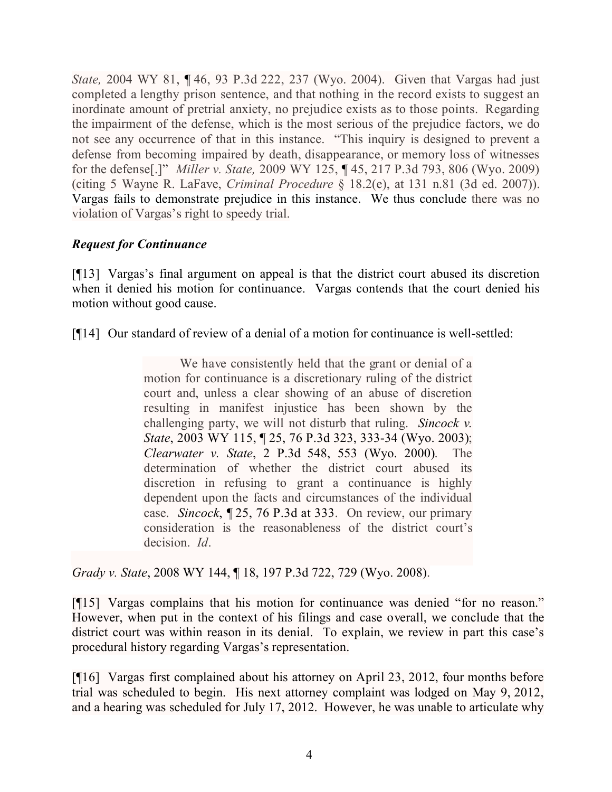*State,* 2004 WY 81, ¶ 46, 93 P.3d 222, 237 (Wyo. 2004). Given that Vargas had just completed a lengthy prison sentence, and that nothing in the record exists to suggest an inordinate amount of pretrial anxiety, no prejudice exists as to those points. Regarding the impairment of the defense, which is the most serious of the prejudice factors, we do not see any occurrence of that in this instance. "This inquiry is designed to prevent a defense from becoming impaired by death, disappearance, or memory loss of witnesses for the defense[.]" *Miller v. State,* 2009 WY 125, ¶ 45, 217 P.3d 793, 806 (Wyo. 2009) (citing 5 Wayne R. LaFave, *Criminal Procedure* § 18.2(e), at 131 n.81 (3d ed. 2007)). Vargas fails to demonstrate prejudice in this instance. We thus conclude there was no violation of Vargas's right to speedy trial.

# *Request for Continuance*

[¶13] Vargas's final argument on appeal is that the district court abused its discretion when it denied his motion for continuance. Vargas contends that the court denied his motion without good cause.

[¶14] Our standard of review of a denial of a motion for continuance is well-settled:

We have consistently held that the grant or denial of a motion for continuance is a discretionary ruling of the district court and, unless a clear showing of an abuse of discretion resulting in manifest injustice has been shown by the challenging party, we will not disturb that ruling. *Sincock v. State*, 2003 WY 115, ¶ 25, 76 P.3d 323, 333-34 (Wyo. 2003); *Clearwater v. State*, 2 P.3d 548, 553 (Wyo. 2000). The determination of whether the district court abused its discretion in refusing to grant a continuance is highly dependent upon the facts and circumstances of the individual case. *Sincock*, ¶ 25, 76 P.3d at 333. On review, our primary consideration is the reasonableness of the district court's decision. *Id*.

*Grady v. State*, 2008 WY 144, ¶ 18, 197 P.3d 722, 729 (Wyo. 2008).

[¶15] Vargas complains that his motion for continuance was denied "for no reason." However, when put in the context of his filings and case overall, we conclude that the district court was within reason in its denial. To explain, we review in part this case's procedural history regarding Vargas's representation.

[¶16] Vargas first complained about his attorney on April 23, 2012, four months before trial was scheduled to begin. His next attorney complaint was lodged on May 9, 2012, and a hearing was scheduled for July 17, 2012. However, he was unable to articulate why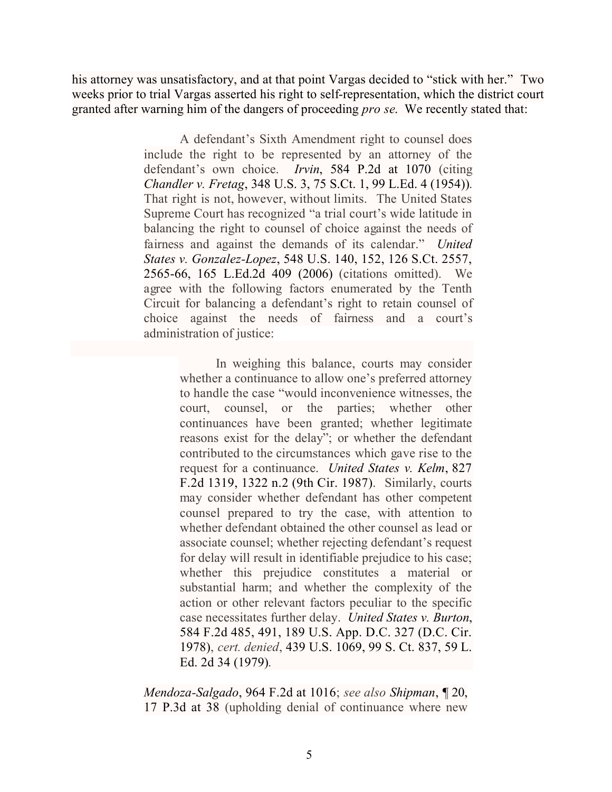his attorney was unsatisfactory, and at that point Vargas decided to "stick with her." Two weeks prior to trial Vargas asserted his right to self-representation, which the district court granted after warning him of the dangers of proceeding *pro se*. We recently stated that:

> A defendant's Sixth Amendment right to counsel does include the right to be represented by an attorney of the defendant's own choice. *Irvin*, 584 P.2d at 1070 (citing *Chandler v. Fretag*, 348 U.S. 3, 75 S.Ct. 1, 99 L.Ed. 4 (1954)). That right is not, however, without limits. The United States Supreme Court has recognized "a trial court's wide latitude in balancing the right to counsel of choice against the needs of fairness and against the demands of its calendar." *United States v. Gonzalez-Lopez*, 548 U.S. 140, 152, 126 S.Ct. 2557, 2565-66, 165 L.Ed.2d 409 (2006) (citations omitted). We agree with the following factors enumerated by the Tenth Circuit for balancing a defendant's right to retain counsel of choice against the needs of fairness and a court's administration of justice:

> > In weighing this balance, courts may consider whether a continuance to allow one's preferred attorney to handle the case "would inconvenience witnesses, the court, counsel, or the parties; whether other continuances have been granted; whether legitimate reasons exist for the delay"; or whether the defendant contributed to the circumstances which gave rise to the request for a continuance. *United States v. Kelm*, 827 F.2d 1319, 1322 n.2 (9th Cir. 1987). Similarly, courts may consider whether defendant has other competent counsel prepared to try the case, with attention to whether defendant obtained the other counsel as lead or associate counsel; whether rejecting defendant's request for delay will result in identifiable prejudice to his case; whether this prejudice constitutes a material or substantial harm; and whether the complexity of the action or other relevant factors peculiar to the specific case necessitates further delay. *United States v. Burton*, 584 F.2d 485, 491, 189 U.S. App. D.C. 327 (D.C. Cir. 1978), *cert. denied*, 439 U.S. 1069, 99 S. Ct. 837, 59 L. Ed. 2d 34 (1979).

*Mendoza-Salgado*, 964 F.2d at 1016; *see also Shipman*, ¶ 20, 17 P.3d at 38 (upholding denial of continuance where new